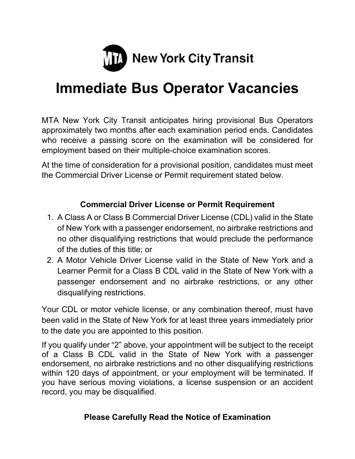

# **Immediate Bus Operator Vacancies**

MTA New York City Transit anticipates hiring provisional Bus Operators approximately two months after each examination period ends. Candidates who receive a passing score on the examination will be considered for employment based on their multiple-choice examination scores.

At the time of consideration for a provisional position, candidates must meet the Commercial Driver License or Permit requirement stated below.

# **Commercial Driver License or Permit Requirement**

- 1. A Class A or Class B Commercial Driver License (CDL) valid in the State of New York with a passenger endorsement, no airbrake restrictions and no other disqualifying restrictions that would preclude the performance of the duties of this title; or
- 2. A Motor Vehicle Driver License valid in the State of New York and a Learner Permit for a Class B CDL valid in the State of New York with a passenger endorsement and no airbrake restrictions, or any other disqualifying restrictions.

Your CDL or motor vehicle license, or any combination thereof, must have been valid in the State of New York for at least three years immediately prior to the date you are appointed to this position.

If you qualify under "2" above, your appointment will be subject to the receipt of a Class B CDL valid in the State of New York with a passenger endorsement, no airbrake restrictions and no other disqualifying restrictions within 120 days of appointment, or your employment will be terminated. If you have serious moving violations, a license suspension or an accident record, you may be disqualified.

# **Please Carefully Read the Notice of Examination**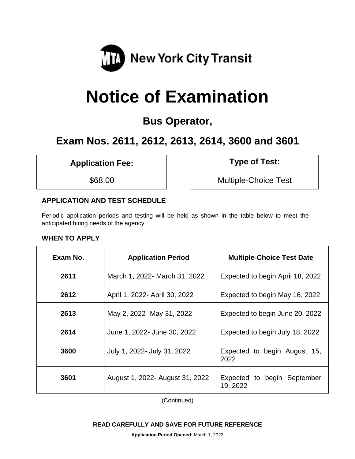

# **Notice of Examination**

# **Bus Operator,**

# **Exam Nos. 2611, 2612, 2613, 2614, 3600 and 3601**

**Application Fee: Type of Test:** 

\$68.00 Multiple-Choice Test

# **APPLICATION AND TEST SCHEDULE**

Periodic application periods and testing will be held as shown in the table below to meet the anticipated hiring needs of the agency.

#### **WHEN TO APPLY**

| Exam No. | <b>Application Period</b>       | <b>Multiple-Choice Test Date</b>        |
|----------|---------------------------------|-----------------------------------------|
| 2611     | March 1, 2022- March 31, 2022   | Expected to begin April 18, 2022        |
| 2612     | April 1, 2022- April 30, 2022   | Expected to begin May 16, 2022          |
| 2613     | May 2, 2022- May 31, 2022       | Expected to begin June 20, 2022         |
| 2614     | June 1, 2022- June 30, 2022     | Expected to begin July 18, 2022         |
| 3600     | July 1, 2022- July 31, 2022     | Expected to begin August 15,<br>2022    |
| 3601     | August 1, 2022- August 31, 2022 | Expected to begin September<br>19, 2022 |

(Continued)

**READ CAREFULLY AND SAVE FOR FUTURE REFERENCE**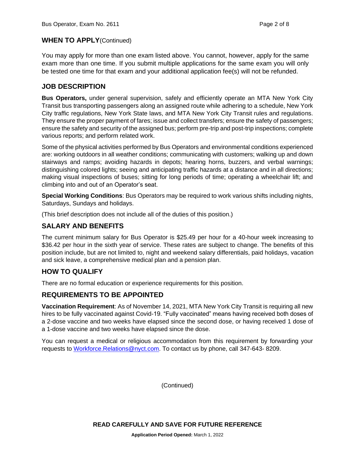#### **WHEN TO APPLY**(Continued)

You may apply for more than one exam listed above. You cannot, however, apply for the same exam more than one time. If you submit multiple applications for the same exam you will only be tested one time for that exam and your additional application fee(s) will not be refunded.

#### **JOB DESCRIPTION**

**Bus Operators,** under general supervision, safely and efficiently operate an MTA New York City Transit bus transporting passengers along an assigned route while adhering to a schedule, New York City traffic regulations, New York State laws, and MTA New York City Transit rules and regulations. They ensure the proper payment of fares; issue and collect transfers; ensure the safety of passengers; ensure the safety and security of the assigned bus; perform pre-trip and post-trip inspections; complete various reports; and perform related work.

Some of the physical activities performed by Bus Operators and environmental conditions experienced are: working outdoors in all weather conditions; communicating with customers; walking up and down stairways and ramps; avoiding hazards in depots; hearing horns, buzzers, and verbal warnings; distinguishing colored lights; seeing and anticipating traffic hazards at a distance and in all directions; making visual inspections of buses; sitting for long periods of time; operating a wheelchair lift; and climbing into and out of an Operator's seat.

**Special Working Conditions**: Bus Operators may be required to work various shifts including nights, Saturdays, Sundays and holidays.

(This brief description does not include all of the duties of this position.)

# **SALARY AND BENEFITS**

The current minimum salary for Bus Operator is \$25.49 per hour for a 40-hour week increasing to \$36.42 per hour in the sixth year of service. These rates are subject to change. The benefits of this position include, but are not limited to, night and weekend salary differentials, paid holidays, vacation and sick leave, a comprehensive medical plan and a pension plan.

# **HOW TO QUALIFY**

There are no formal education or experience requirements for this position.

#### **REQUIREMENTS TO BE APPOINTED**

**Vaccination Requirement**: As of November 14, 2021, MTA New York City Transit is requiring all new hires to be fully vaccinated against Covid-19. "Fully vaccinated" means having received both doses of a 2-dose vaccine and two weeks have elapsed since the second dose, or having received 1 dose of a 1-dose vaccine and two weeks have elapsed since the dose.

You can request a medical or religious accommodation from this requirement by forwarding your requests to [Workforce.Relations@nyct.com.](mailto:Workforce.Relations@nyct.com) To contact us by phone, call 347-643- 8209.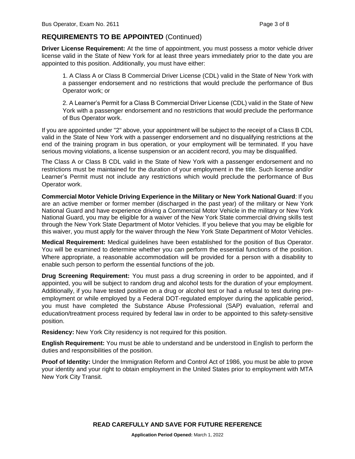#### **REQUIREMENTS TO BE APPOINTED** (Continued)

**Driver License Requirement:** At the time of appointment, you must possess a motor vehicle driver license valid in the State of New York for at least three years immediately prior to the date you are appointed to this position. Additionally, you must have either:

1. A Class A or Class B Commercial Driver License (CDL) valid in the State of New York with a passenger endorsement and no restrictions that would preclude the performance of Bus Operator work; or

2. A Learner's Permit for a Class B Commercial Driver License (CDL) valid in the State of New York with a passenger endorsement and no restrictions that would preclude the performance of Bus Operator work.

If you are appointed under "2" above, your appointment will be subject to the receipt of a Class B CDL valid in the State of New York with a passenger endorsement and no disqualifying restrictions at the end of the training program in bus operation, or your employment will be terminated. If you have serious moving violations, a license suspension or an accident record, you may be disqualified.

The Class A or Class B CDL valid in the State of New York with a passenger endorsement and no restrictions must be maintained for the duration of your employment in the title. Such license and/or Learner's Permit must not include any restrictions which would preclude the performance of Bus Operator work.

**Commercial Motor Vehicle Driving Experience in the Military or New York National Guard**: If you are an active member or former member (discharged in the past year) of the military or New York National Guard and have experience driving a Commercial Motor Vehicle in the military or New York National Guard, you may be eligible for a waiver of the New York State commercial driving skills test through the New York State Department of Motor Vehicles. If you believe that you may be eligible for this waiver, you must apply for the waiver through the New York State Department of Motor Vehicles.

**Medical Requirement:** Medical guidelines have been established for the position of Bus Operator. You will be examined to determine whether you can perform the essential functions of the position. Where appropriate, a reasonable accommodation will be provided for a person with a disability to enable such person to perform the essential functions of the job.

**Drug Screening Requirement:** You must pass a drug screening in order to be appointed, and if appointed, you will be subject to random drug and alcohol tests for the duration of your employment. Additionally, if you have tested positive on a drug or alcohol test or had a refusal to test during preemployment or while employed by a Federal DOT-regulated employer during the applicable period, you must have completed the Substance Abuse Professional (SAP) evaluation, referral and education/treatment process required by federal law in order to be appointed to this safety-sensitive position.

**Residency:** New York City residency is not required for this position.

**English Requirement:** You must be able to understand and be understood in English to perform the duties and responsibilities of the position.

**Proof of Identity:** Under the Immigration Reform and Control Act of 1986, you must be able to prove your identity and your right to obtain employment in the United States prior to employment with MTA New York City Transit.

**READ CAREFULLY AND SAVE FOR FUTURE REFERENCE**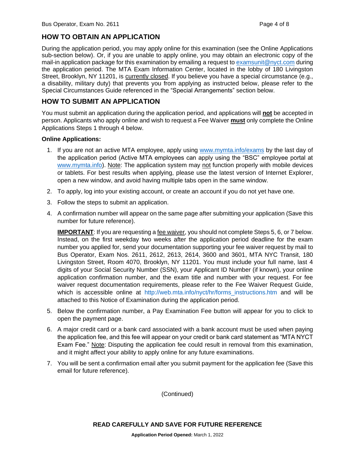### **HOW TO OBTAIN AN APPLICATION**

During the application period, you may apply online for this examination (see the Online Applications sub-section below). Or, if you are unable to apply online, you may obtain an electronic copy of the mail-in application package for this examination by emailing a request to [examsunit@nyct.com](mailto:examsunit@nyct.com) during the application period. The MTA Exam Information Center, located in the lobby of 180 Livingston Street, Brooklyn, NY 11201, is currently closed. If you believe you have a special circumstance (e.g., a disability, military duty) that prevents you from applying as instructed below, please refer to the Special Circumstances Guide referenced in the "Special Arrangements" section below.

#### **HOW TO SUBMIT AN APPLICATION**

You must submit an application during the application period, and applications will **not** be accepted in person. Applicants who apply online and wish to request a Fee Waiver **must** only complete the Online Applications Steps 1 through 4 below.

#### **Online Applications:**

- 1. If you are not an active MTA employee, apply using [www.mymta.info/exams](http://www.mymta.info/exams) by the last day of the application period (Active MTA employees can apply using the "BSC" employee portal at [www.mymta.info\)](http://www.mymta.info/). Note: The application system may not function properly with mobile devices or tablets. For best results when applying, please use the latest version of Internet Explorer, open a new window, and avoid having multiple tabs open in the same window.
- 2. To apply, log into your existing account, or create an account if you do not yet have one.
- 3. Follow the steps to submit an application.
- 4. A confirmation number will appear on the same page after submitting your application (Save this number for future reference).

**IMPORTANT:** If you are requesting a fee waiver, you should not complete Steps 5, 6, or 7 below. Instead, on the first weekday two weeks after the application period deadline for the exam number you applied for, send your documentation supporting your fee waiver request by mail to Bus Operator, Exam Nos. 2611, 2612, 2613, 2614, 3600 and 3601, MTA NYC Transit, 180 Livingston Street, Room 4070, Brooklyn, NY 11201. You must include your full name, last 4 digits of your Social Security Number (SSN), your Applicant ID Number (if known), your online application confirmation number, and the exam title and number with your request. For fee waiver request documentation requirements, please refer to the Fee Waiver Request Guide, which is accessible online at [http://web.mta.info/nyct/hr/forms\\_instructions.htm](http://web.mta.info/nyct/hr/forms_instructions.htm) and will be attached to this Notice of Examination during the application period.

- 5. Below the confirmation number, a Pay Examination Fee button will appear for you to click to open the payment page.
- 6. A major credit card or a bank card associated with a bank account must be used when paying the application fee, and this fee will appear on your credit or bank card statement as "MTA NYCT Exam Fee." Note: Disputing the application fee could result in removal from this examination, and it might affect your ability to apply online for any future examinations.
- 7. You will be sent a confirmation email after you submit payment for the application fee (Save this email for future reference).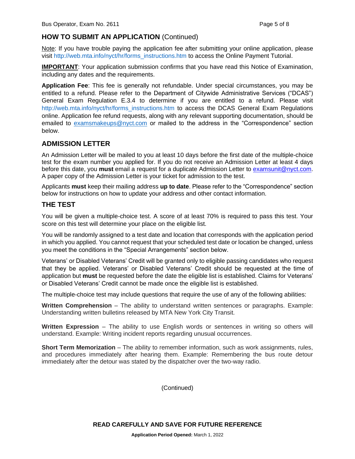#### **HOW TO SUBMIT AN APPLICATION** (Continued)

Note: If you have trouble paying the application fee after submitting your online application, please visit [http://web.mta.info/nyct/hr/forms\\_instructions.htm](http://web.mta.info/nyct/hr/forms_instructions.htm) to access the Online Payment Tutorial.

**IMPORTANT**: Your application submission confirms that you have read this Notice of Examination, including any dates and the requirements.

**Application Fee**: This fee is generally not refundable. Under special circumstances, you may be entitled to a refund. Please refer to the Department of Citywide Administrative Services ("DCAS") General Exam Regulation E.3.4 to determine if you are entitled to a refund. Please visit [http://web.mta.info/nyct/hr/forms\\_instructions.htm](http://web.mta.info/nyct/hr/forms_instructions.htm) to access the DCAS General Exam Regulations online. Application fee refund requests, along with any relevant supporting documentation, should be emailed to [examsmakeups@nyct.com](mailto:examsmakeups@nyct.com) or mailed to the address in the "Correspondence" section below.

#### **ADMISSION LETTER**

An Admission Letter will be mailed to you at least 10 days before the first date of the multiple-choice test for the exam number you applied for. If you do not receive an Admission Letter at least 4 days before this date, you **must** email a request for a duplicate Admission Letter to [examsunit@nyct.com.](mailto:examsunit@nyct.com) A paper copy of the Admission Letter is your ticket for admission to the test.

Applicants **must** keep their mailing address **up to date**. Please refer to the "Correspondence" section below for instructions on how to update your address and other contact information.

#### **THE TEST**

You will be given a multiple-choice test. A score of at least 70% is required to pass this test. Your score on this test will determine your place on the eligible list.

You will be randomly assigned to a test date and location that corresponds with the application period in which you applied. You cannot request that your scheduled test date or location be changed, unless you meet the conditions in the "Special Arrangements" section below.

Veterans' or Disabled Veterans' Credit will be granted only to eligible passing candidates who request that they be applied. Veterans' or Disabled Veterans' Credit should be requested at the time of application but **must** be requested before the date the eligible list is established. Claims for Veterans' or Disabled Veterans' Credit cannot be made once the eligible list is established.

The multiple-choice test may include questions that require the use of any of the following abilities:

**Written Comprehension** – The ability to understand written sentences or paragraphs. Example: Understanding written bulletins released by MTA New York City Transit.

**Written Expression** – The ability to use English words or sentences in writing so others will understand. Example: Writing incident reports regarding unusual occurrences.

**Short Term Memorization** – The ability to remember information, such as work assignments, rules, and procedures immediately after hearing them. Example: Remembering the bus route detour immediately after the detour was stated by the dispatcher over the two-way radio.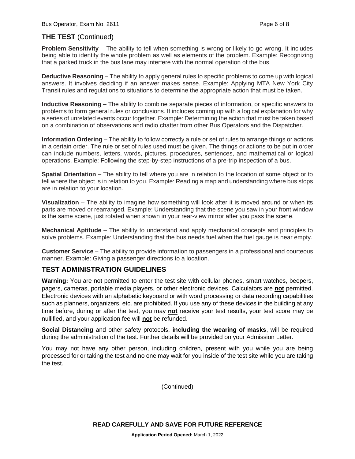#### **THE TEST** (Continued)

**Problem Sensitivity** – The ability to tell when something is wrong or likely to go wrong. It includes being able to identify the whole problem as well as elements of the problem. Example: Recognizing that a parked truck in the bus lane may interfere with the normal operation of the bus.

**Deductive Reasoning** – The ability to apply general rules to specific problems to come up with logical answers. It involves deciding if an answer makes sense. Example: Applying MTA New York City Transit rules and regulations to situations to determine the appropriate action that must be taken.

**Inductive Reasoning** – The ability to combine separate pieces of information, or specific answers to problems to form general rules or conclusions. It includes coming up with a logical explanation for why a series of unrelated events occur together. Example: Determining the action that must be taken based on a combination of observations and radio chatter from other Bus Operators and the Dispatcher.

**Information Ordering** – The ability to follow correctly a rule or set of rules to arrange things or actions in a certain order. The rule or set of rules used must be given. The things or actions to be put in order can include numbers, letters, words, pictures, procedures, sentences, and mathematical or logical operations. Example: Following the step-by-step instructions of a pre-trip inspection of a bus.

**Spatial Orientation** – The ability to tell where you are in relation to the location of some object or to tell where the object is in relation to you. Example: Reading a map and understanding where bus stops are in relation to your location.

**Visualization** – The ability to imagine how something will look after it is moved around or when its parts are moved or rearranged. Example: Understanding that the scene you saw in your front window is the same scene, just rotated when shown in your rear-view mirror after you pass the scene.

**Mechanical Aptitude** – The ability to understand and apply mechanical concepts and principles to solve problems. Example: Understanding that the bus needs fuel when the fuel gauge is near empty.

**Customer Service** – The ability to provide information to passengers in a professional and courteous manner. Example: Giving a passenger directions to a location.

#### **TEST ADMINISTRATION GUIDELINES**

**Warning:** You are not permitted to enter the test site with cellular phones, smart watches, beepers, pagers, cameras, portable media players, or other electronic devices. Calculators are **not** permitted. Electronic devices with an alphabetic keyboard or with word processing or data recording capabilities such as planners, organizers, etc. are prohibited. If you use any of these devices in the building at any time before, during or after the test, you may **not** receive your test results, your test score may be nullified, and your application fee will **not** be refunded.

**Social Distancing** and other safety protocols, **including the wearing of masks**, will be required during the administration of the test. Further details will be provided on your Admission Letter.

You may not have any other person, including children, present with you while you are being processed for or taking the test and no one may wait for you inside of the test site while you are taking the test.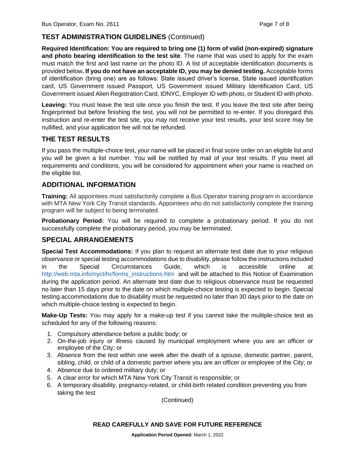# **TEST ADMINISTRATION GUIDELINES** (Continued)

**Required Identification: You are required to bring one (1) form of valid (non-expired) signature and photo bearing identification to the test site**. The name that was used to apply for the exam must match the first and last name on the photo ID. A list of acceptable identification documents is provided below**. If you do not have an acceptable ID, you may be denied testing.** Acceptable forms of identification (bring one) are as follows: State issued driver's license, State issued identification card, US Government issued Passport, US Government issued Military Identification Card, US Government issued Alien Registration Card, IDNYC, Employer ID with photo, or Student ID with photo.

Leaving: You must leave the test site once you finish the test. If you leave the test site after being fingerprinted but before finishing the test, you will not be permitted to re-enter. If you disregard this instruction and re-enter the test site, you may not receive your test results, your test score may be nullified, and your application fee will not be refunded.

#### **THE TEST RESULTS**

If you pass the multiple-choice test, your name will be placed in final score order on an eligible list and you will be given a list number. You will be notified by mail of your test results. If you meet all requirements and conditions, you will be considered for appointment when your name is reached on the eligible list.

#### **ADDITIONAL INFORMATION**

**Training:** All appointees must satisfactorily complete a Bus Operator training program in accordance with MTA New York City Transit standards. Appointees who do not satisfactorily complete the training program will be subject to being terminated.

**Probationary Period:** You will be required to complete a probationary period. If you do not successfully complete the probationary period, you may be terminated.

# **SPECIAL ARRANGEMENTS**

**Special Test Accommodations:** If you plan to request an alternate test date due to your religious observance or special testing accommodations due to disability, please follow the instructions included in the Special Circumstances Guide, which is accessible online at [http://web.mta.info/nyct/hr/forms\\_instructions.htm](http://web.mta.info/nyct/hr/forms_instructions.htm) and will be attached to this Notice of Examination during the application period. An alternate test date due to religious observance must be requested no later than 15 days prior to the date on which multiple-choice testing is expected to begin. Special testing accommodations due to disability must be requested no later than 30 days prior to the date on which multiple-choice testing is expected to begin.

**Make-Up Tests:** You may apply for a make-up test if you cannot take the multiple-choice test as scheduled for any of the following reasons:

- 1. Compulsory attendance before a public body; or
- 2. On-the-job injury or illness caused by municipal employment where you are an officer or employee of the City; or
- 3. Absence from the test within one week after the death of a spouse, domestic partner, parent, sibling, child, or child of a domestic partner where you are an officer or employee of the City; or
- 4. Absence due to ordered military duty; or
- 5. A clear error for which MTA New York City Transit is responsible; or
- 6. A temporary disability, pregnancy-related, or child-birth related condition preventing you from taking the test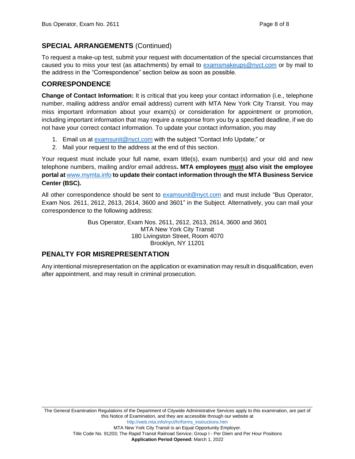# **SPECIAL ARRANGEMENTS** (Continued)

To request a make-up test, submit your request with documentation of the special circumstances that caused you to miss your test (as attachments) by email to [examsmakeups@nyct.com](mailto:examsmakeups@nyct.com) or by mail to the address in the "Correspondence" section below as soon as possible.

#### **CORRESPONDENCE**

**Change of Contact Information:** It is critical that you keep your contact information (i.e., telephone number, mailing address and/or email address) current with MTA New York City Transit. You may miss important information about your exam(s) or consideration for appointment or promotion, including important information that may require a response from you by a specified deadline, if we do not have your correct contact information. To update your contact information, you may

- 1. Email us at [examsunit@nyct.com](mailto:examsunit@nyct.com) with the subject "Contact Info Update;" or
- 2. Mail your request to the address at the end of this section.

Your request must include your full name, exam title(s), exam number(s) and your old and new telephone numbers, mailing and/or email address**. MTA employees must also visit the employee portal at** [www.mymta.info](http://www.mymta.info/) **to update their contact information through the MTA Business Service Center (BSC).**

All other correspondence should be sent to [examsunit@nyct.com](mailto:examsunit@nyct.com) and must include "Bus Operator, Exam Nos. 2611, 2612, 2613, 2614, 3600 and 3601" in the Subject. Alternatively, you can mail your correspondence to the following address:

> Bus Operator, Exam Nos. 2611, 2612, 2613, 2614, 3600 and 3601 MTA New York City Transit 180 Livingston Street, Room 4070 Brooklyn, NY 11201

#### **PENALTY FOR MISREPRESENTATION**

Any intentional misrepresentation on the application or examination may result in disqualification, even after appointment, and may result in criminal prosecution.

\_\_\_\_\_\_\_\_\_\_\_\_\_\_\_\_\_\_\_\_\_\_\_\_\_\_\_\_\_\_\_\_\_\_\_\_\_\_\_\_\_\_\_\_\_\_\_\_\_\_\_\_\_\_\_\_\_\_\_\_\_\_\_\_\_\_\_\_\_\_\_\_\_\_\_\_\_\_\_\_\_\_\_\_\_\_\_\_\_\_\_\_\_\_\_\_\_\_\_\_\_\_\_\_\_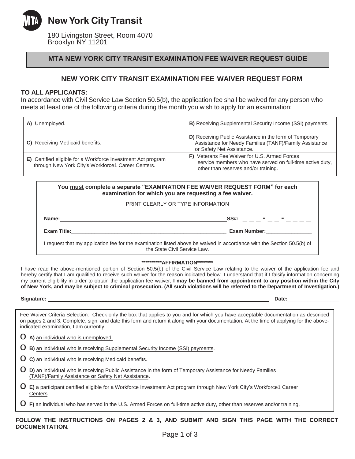

# **New York City Transit**

180 Livingston Street, Room 4070 Brooklyn NY 11201

#### **MTA NEW YORK CITY TRANSIT EXAMINATION FEE WAIVER REQUEST GUIDE**

#### **NEW YORK CITY TRANSIT EXAMINATION FEE WAIVER REQUEST FORM**

#### **TO ALL APPLICANTS:**

In accordance with Civil Service Law Section 50.5(b), the application fee shall be waived for any person who meets at least one of the following criteria during the month you wish to apply for an examination:

| A) Unemployed.                                                                                                     | <b>B)</b> Receiving Supplemental Security Income (SSI) payments.                                                                                     |
|--------------------------------------------------------------------------------------------------------------------|------------------------------------------------------------------------------------------------------------------------------------------------------|
| C) Receiving Medicaid benefits.                                                                                    | D) Receiving Public Assistance in the form of Temporary<br>Assistance for Needy Families (TANF)/Family Assistance<br>or Safety Net Assistance.       |
| E) Certified eligible for a Workforce Investment Act program<br>through New York City's Workforce1 Career Centers. | Veterans Fee Waiver for U.S. Armed Forces<br>F)<br>service members who have served on full-time active duty,<br>other than reserves and/or training. |

| You must complete a separate "EXAMINATION FEE WAIVER REQUEST FORM" for each<br>examination for which you are requesting a fee waiver.                                                                                          |                                                                                                                                                                                                                                |  |
|--------------------------------------------------------------------------------------------------------------------------------------------------------------------------------------------------------------------------------|--------------------------------------------------------------------------------------------------------------------------------------------------------------------------------------------------------------------------------|--|
| PRINT CLEARLY OR TYPE INFORMATION                                                                                                                                                                                              |                                                                                                                                                                                                                                |  |
|                                                                                                                                                                                                                                | SS#: $      -$                                                                                                                                                                                                                 |  |
| Exam Title: The Second Second Second Second Second Second Second Second Second Second Second Second Second Second Second Second Second Second Second Second Second Second Second Second Second Second Second Second Second Sec | Exam Number: The control of the control of the control of the control of the control of the control of the control of the control of the control of the control of the control of the control of the control of the control of |  |
| I request that my application fee for the examination listed above be waived in accordance with the Section 50.5(b) of<br>the State Civil Service Law.                                                                         |                                                                                                                                                                                                                                |  |

#### **\*\*\*\*\*\*\*\*\*\*AFFIRMATION\*\*\*\*\*\*\*\***

I have read the above-mentioned portion of Section 50.5(b) of the Civil Service Law relating to the waiver of the application fee and hereby certify that I am qualified to receive such waiver for the reason indicated below. I understand that if I falsify information concerning my current eligibility in order to obtain the application fee waiver, **I may be banned from appointment to any position within the City** of New York, and may be subject to criminal prosecution. (All such violations will be referred to the Department of Investigation.)

#### **Signature: Date:\_\_\_\_\_\_\_\_\_\_\_\_\_\_\_\_\_\_**

Fee Waiver Criteria Selection: Check only the box that applies to you and for which you have acceptable documentation as described on pages 2 and 3. Complete, sign, and date this form and return it along with your documentation. At the time of applying for the aboveindicated examination, I am currently…

o **A)** an individual who is unemployed.

**O** B) an individual who is receiving Supplemental Security Income (SSI) payments.

- **O** C) an individual who is receiving Medicaid benefits.
- **O** D) an individual who is receiving Public Assistance in the form of Temporary Assistance for Needy Families (TANF)/Family Assistance **or** Safety Net Assistance.
- o **E)** a participant certified eligible for a Workforce Investment Act program through New York City's Workforce1 Career Centers.
- o **F)** an individual who has served in the U.S. Armed Forces on full-time active duty, other than reserves and/or training,

#### **FOLLOW THE INSTRUCTIONS ON PAGES 2 & 3, AND SUBMIT AND SIGN THIS PAGE WITH THE CORRECT DOCUMENTATION.**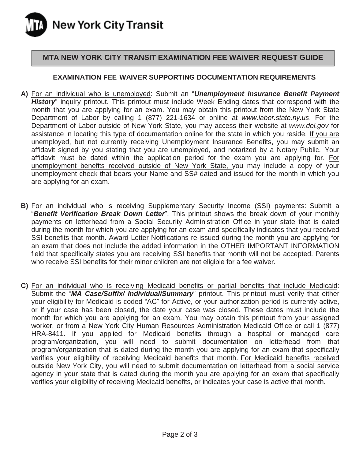

# **MTA NEW YORK CITY TRANSIT EXAMINATION FEE WAIVER REQUEST GUIDE**

#### **EXAMINATION FEE WAIVER SUPPORTING DOCUMENTATION REQUIREMENTS**

- **A)** For an individual who is unemployed: Submit an "*Unemployment Insurance Benefit Payment* **History**" inquiry printout. This printout must include Week Ending dates that correspond with the month that you are applying for an exam. You may obtain this printout from the New York State Department of Labor by calling 1 (877) 221-1634 or online at *[www.labor.state.ny.us](http://www.labor.state.ny.us/)*. For the Department of Labor outside of New York State, you may access their website at *[www.dol.gov](http://www.dol.gov/)* for assistance in locating this type of documentation online for the state in which you reside. If you are unemployed, but not currently receiving Unemployment Insurance Benefits, you may submit an affidavit signed by you stating that you are unemployed, and notarized by a Notary Public. Your affidavit must be dated within the application period for the exam you are applying for. For unemployment benefits received outside of New York State, you may include a copy of your unemployment check that bears your Name and SS# dated and issued for the month in which you are applying for an exam.
- **B)** For an individual who is receiving Supplementary Security Income (SSI) payments: Submit a "*Benefit Verification Break Down Letter*". This printout shows the break down of your monthly payments on letterhead from a Social Security Administration Office in your state that is dated during the month for which you are applying for an exam and specifically indicates that you received SSI benefits that month. Award Letter Notifications re-issued during the month you are applying for an exam that does not include the added information in the OTHER IMPORTANT INFORMATION field that specifically states you are receiving SSI benefits that month will not be accepted. Parents who receive SSI benefits for their minor children are not eligible for a fee waiver.
- **C)** For an individual who is receiving Medicaid benefits or partial benefits that include Medicaid: Submit the "*MA Case/Suffix/ Individual/Summary*" printout. This printout must verify that either your eligibility for Medicaid is coded "AC" for Active, or your authorization period is currently active, or if your case has been closed, the date your case was closed. These dates must include the month for which you are applying for an exam. You may obtain this printout from your assigned worker, or from a New York City Human Resources Administration Medicaid Office or call 1 (877) HRA-8411. If you applied for Medicaid benefits through a hospital or managed care program/organization, you will need to submit documentation on letterhead from that program/organization that is dated during the month you are applying for an exam that specifically verifies your eligibility of receiving Medicaid benefits that month. For Medicaid benefits received outside New York City, you will need to submit documentation on letterhead from a social service agency in your state that is dated during the month you are applying for an exam that specifically verifies your eligibility of receiving Medicaid benefits, or indicates your case is active that month.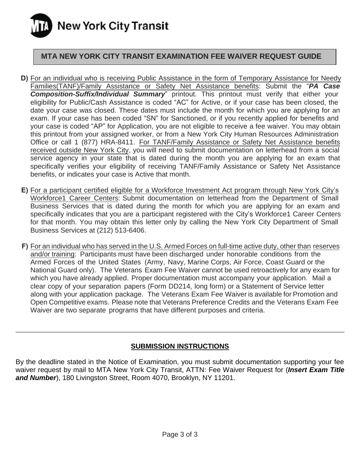**New York City Transit** 

# **MTA NEW YORK CITY TRANSIT EXAMINATION FEE WAIVER REQUEST GUIDE**

- **D)** For an individual who is receiving Public Assistance in the form of Temporary Assistance for Needy Families(TANF)/Family Assistance or Safety Net Assistance benefits: Submit the "*PA Case* **Composition-Suffix/Individual Summary**" printout. This printout must verify that either your eligibility for Public/Cash Assistance is coded "AC" for Active, or if your case has been closed, the date your case was closed. These dates must include the month for which you are applying for an exam. If your case has been coded "SN" for Sanctioned, or if you recently applied for benefits and your case is coded "AP" for Application, you are not eligible to receive a fee waiver. You may obtain this printout from your assigned worker, or from a New York City Human Resources Administration Office or call 1 (877) HRA-8411. For TANF/Family Assistance or Safety Net Assistance benefits received outside New York City, you will need to submit documentation on letterhead from a social service agency in your state that is dated during the month you are applying for an exam that specifically verifies your eligibility of receiving TANF/Family Assistance or Safety Net Assistance benefits, or indicates your case is Active that month.
- **E)** For a participant certified eligible for a Workforce Investment Act program through New York City's Workforce1 Career Centers: Submit documentation on letterhead from the Department of Small Business Services that is dated during the month for which you are applying for an exam and specifically indicates that you are a participant registered with the City's Workforce1 Career Centers for that month. You may obtain this letter only by calling the New York City Department of Small Business Services at (212) 513-6406.
- **F)** For an individual who has served in the U.S. Armed Forces on full-time active duty, other than reserves and/or training: Participants must have been discharged under honorable conditions from the Armed Forces of the United States (Army, Navy, Marine Corps, Air Force, Coast Guard or the National Guard only). The Veterans Exam Fee Waiver cannot be used retroactively for any exam for which you have already applied. Proper documentation must accompany your application. Mail a clear copy of your separation papers (Form DD214, long form) or a Statement of Service letter along with your application package. The Veterans Exam Fee Waiver is available for Promotion and Open Competitive exams. Please note that Veterans Preference Credits and the Veterans Exam Fee Waiver are two separate programs that have different purposes and criteria.

# **SUBMISSION INSTRUCTIONS**

By the deadline stated in the Notice of Examination, you must submit documentation supporting your fee waiver request by mail to MTA New York City Transit, ATTN: Fee Waiver Request for (*Insert Exam Title and Number*), 180 Livingston Street, Room 4070, Brooklyn, NY 11201.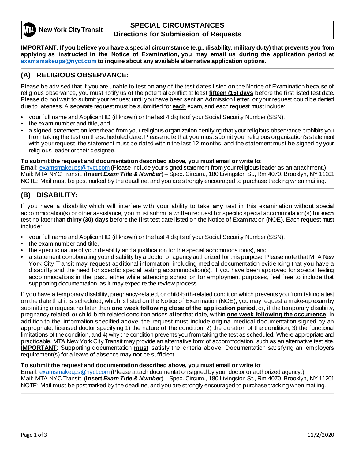

#### **SPECIAL CIRCUMSTANCES Directions for Submission of Requests**

**IMPORTANT: If you believe you have a special circumstance (e.g., disability, military duty) that prevents you from applying as instructed in the Notice of Examination, you may email us during the application period at [examsmakeups@nyct.com](mailto:examsmakeups@nyct.com) to inquire about any available alternative application options.**

# **(A) RELIGIOUS OBSERVANCE:**

Please be advised that if you are unable to test on **any** of the test dates listed on the Notice of Examination because of religious observance, you must notify us of the potential conflict at least **fifteen (15) days** before the first listed test date. Please do not wait to submit your request until you have been sent an Admission Letter, or your request could be denied due to lateness. A separate request must be submitted for **each** exam, and each request must include:

- your full name and Applicant ID (if known) or the last 4 digits of your Social Security Number (SSN),
- the exam number and title, and
- a signed statement on letterhead from your religious organization certifying that your religious observance prohibits you from taking the test on the scheduled date. Please note that you must submit your religious organization's statement with your request; the statement must be dated within the last 12 months; and the statement must be signed by your religious leader or their designee.

#### **To submit the request and documentation described above, you must email or write to**:

Email[: examsmakeups@nyct.com](mailto:examsmakeups@nyct.com) (Please include your signed statement from your religious leader as an attachment.) Mail: MTA NYC Transit, (**Insert** *Exam Title & Number*) – Spec. Circum., 180 Livingston St., Rm 4070, Brooklyn, NY 11201 NOTE: Mail must be postmarked by the deadline, and you are strongly encouraged to purchase tracking when mailing.

# **(B) DISABILITY:**

If you have a disability which will interfere with your ability to take **any** test in this examination without special accommodation(s) or other assistance, you must submit a written request for specific special accommodation(s) for **each** test no later than **thirty (30) days** before the first test date listed on the Notice of Examination (NOE). Each request must include:

- your full name and Applicant ID (if known) or the last 4 digits of your Social Security Number (SSN),
- the exam number and title.
- the specific nature of your disability and a justification for the special accommodation(s), and
- a statement corroborating your disability by a doctor or agency authorized for this purpose. Please note that MTA New York City Transit may request additional information, including medical documentation evidencing that you have a disability and the need for specific special testing accommodation(s). If you have been approved for special testing accommodations in the past, either while attending school or for employment purposes, feel free to include that supporting documentation, as it may expedite the review process.

If you have a temporary disability, pregnancy‐related, or child‐birth‐related condition which prevents you from taking a test on the date that it is scheduled, which is listed on the Notice of Examination (NOE), you may request a make‐up exam by submitting a request no later than **one week following close of the application period**, or, if the temporary disability, pregnancy‐related, or child‐birth‐related condition arises after that date, within **one week following the occurrence**. In addition to the information specified above, the request must include original medical documentation signed by an appropriate, licensed doctor specifying 1) the nature of the condition, 2) the duration of the condition, 3) the functional limitations of the condition, and 4) why the condition prevents you from taking the test as scheduled. Where appropriate and practicable, MTA New York City Transit may provide an alternative form of accommodation, such as an alternative test site. **IMPORTANT**: Supporting documentation **must** satisfy the criteria above. Documentation satisfying an employer's requirement(s) for a leave of absence may **not** be sufficient.

#### **To submit the request and documentation described above, you must email or write to**:

Email: examsmakeups @nyct.com (Please attach documentation signed by your doctor or authorized agency.) Mail: MTA NYC Transit, (**Insert** *Exam Title & Number*) – Spec. Circum., 180 Livingston St., Rm 4070, Brooklyn, NY 11201 NOTE: Mail must be postmarked by the deadline, and you are strongly encouraged to purchase tracking when mailing.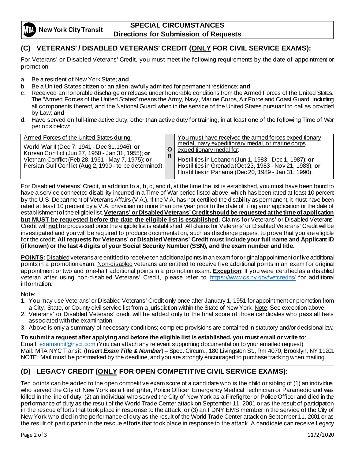

# **(C) VETERANS' / DISABLED VETERANS' CREDIT (ONLY FOR CIVIL SERVICE EXAMS):**

For Veterans' or Disabled Veterans' Credit, you must meet the following requirements by the date of appointment or promotion:

- a. Be a resident of New York State; **and**
- b. Be a United States citizen or an alien lawfully admitted for permanent residence; **and**
- c. Received an honorable discharge or release under honorable conditions from the Armed Forces of the United States. The "Armed Forces of the United States" means the Army, Navy, Marine Corps, Air Force and Coast Guard, including all components thereof, and the National Guard when in the service of the United States pursuant to call as provided by Law; **and**
- d. Have served on full-time active duty, other than active duty for training, in at least one of the following Time of War periods below:

| Armed Forces of the United States during:<br>World War II (Dec 7, 1941 - Dec 31, 1946); or                                                                        |   | You must have received the armed forces expeditionary<br>medal, navy expeditionary medal, or marine corps<br>expeditionary medal for:                                      |
|-------------------------------------------------------------------------------------------------------------------------------------------------------------------|---|----------------------------------------------------------------------------------------------------------------------------------------------------------------------------|
| Korean Conflict (Jun 27, 1950 - Jan 31, 1955); or<br>Vietnam Conflict (Feb 28, 1961 - May 7, 1975); or<br>Persian Gulf Conflict (Aug 2, 1990 - to be determined). | R | Hostilities in Lebanon (Jun 1, 1983 - Dec 1, 1987); or<br>Hostilities in Grenada (Oct 23, 1983 - Nov 21, 1983); or<br>Hostilities in Panama (Dec 20, 1989 - Jan 31, 1990). |

For Disabled Veterans' Credit, in addition to a, b, c, and d, at the time the list is established, you must have been found to have a service connected disability incurred in a Time of War period listed above, which has been rated at least 10 percent by the U.S. Department of Veterans Affairs (V.A.). If the V.A. has not certified the disability as permanent, it must have been rated at least 10 percent by a V.A. physician no more than one year prior to the date of filing your application or the date of establishment of the eligible list.**Veterans' or Disabled Veterans' Credit should be requested at the time of application but MUST be requested before the date the eligible list is established.** Claims for Veterans' or Disabled Veterans' Credit will **not** be processed once the eligible list is established. All claims for Veterans' or Disabled Veterans' Credit will be investigated and you will be required to produce documentation, such as discharge papers, to prove that you are eligible for the credit. **All requests for Veterans' or Disabled Veterans' Credit must include your full name and Applicant ID (if known) or the last 4 digits of your Social Security Number (SSN), and the exam number and title.**

**POINTS:** Disabledveterans areentitled to receive ten additional points in anexam for original appointment orfive additional points in a promotion exam. Non-disabled veterans are entitled to receive five additional points in an exam for original appointment or two and one-half additional points in a promotion exam. **Exception**: If you were certified as a disabled veteran after using non-disabled Veterans' Credit, please refer to <https://www.cs.ny.gov/vetcredits/> for additional information.

#### Note:

- 1. You may use Veterans' or Disabled Veterans' Credit only once after January 1, 1951 for appointment or promotion from a City, State, or County civil service list from a jurisdiction within the State of New York. Note: See exception above.
- 2. Veterans' or Disabled Veterans' credit will be added only to the final score of those candidates who pass all tests associated with the examination.
- 3. Above is only a summary of necessary conditions; complete provisions are contained in statutory and/or decisional law.

#### **To submit a request after applying and before the eligible list is established, you must email or write to**:

Email[: examsunit@nyct.com](mailto:examsunit@nyct.com) (You can attach any relevant supporting documentation to your emailed request) Mail: MTA NYC Transit, (**Insert** *Exam Title & Number*) – Spec. Circum., 180 Livingston St., Rm 4070, Brooklyn, NY 11201 NOTE: Mail must be postmarked by the deadline, and you are strongly encouraged to purchase tracking when mailing.

# **(D) LEGACY CREDIT (ONLY FOR OPEN COMPETITIVE CIVIL SERVICE EXAMS):**

Ten points can be added to the open competitive exam score of a candidate who is the child or sibling of (1) an individual who served the City of New York as a Firefighter, Police Officer, Emergency Medical Technician or Paramedic and was killed in the line of duty; (2) an individual who served the City of New York as a Firefighter or Police Officer and died in the performance of duty as the result of the World Trade Center attack on September 11, 2001 or as the result of participation in the rescue efforts that took place in response to the attack; or (3) an FDNY EMS member in the service of the City of New York who died in the performance of duty as the result of the World Trade Center attack on September 11, 2001 or as the result of participation in the rescue efforts that took place in response to the attack. A candidate can receive Legacy